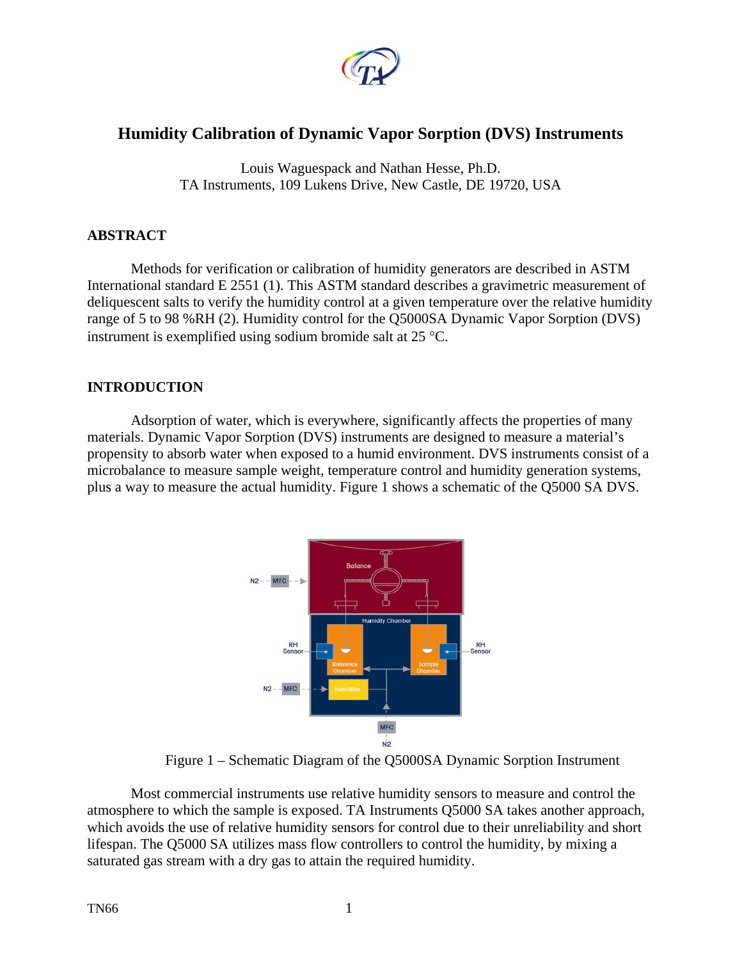

# **Humidity Calibration of Dynamic Vapor Sorption (DVS) Instruments**

Louis Waguespack and Nathan Hesse, Ph.D. TA Instruments, 109 Lukens Drive, New Castle, DE 19720, USA

## **ABSTRACT**

Methods for verification or calibration of humidity generators are described in ASTM International standard E 2551 (1). This ASTM standard describes a gravimetric measurement of deliquescent salts to verify the humidity control at a given temperature over the relative humidity range of 5 to 98 %RH (2). Humidity control for the Q5000SA Dynamic Vapor Sorption (DVS) instrument is exemplified using sodium bromide salt at 25 °C.

# **INTRODUCTION**

Adsorption of water, which is everywhere, significantly affects the properties of many materials. Dynamic Vapor Sorption (DVS) instruments are designed to measure a material's propensity to absorb water when exposed to a humid environment. DVS instruments consist of a microbalance to measure sample weight, temperature control and humidity generation systems, plus a way to measure the actual humidity. Figure 1 shows a schematic of the Q5000 SA DVS.



Figure 1 – Schematic Diagram of the Q5000SA Dynamic Sorption Instrument

Most commercial instruments use relative humidity sensors to measure and control the atmosphere to which the sample is exposed. TA Instruments Q5000 SA takes another approach, which avoids the use of relative humidity sensors for control due to their unreliability and short lifespan. The Q5000 SA utilizes mass flow controllers to control the humidity, by mixing a saturated gas stream with a dry gas to attain the required humidity.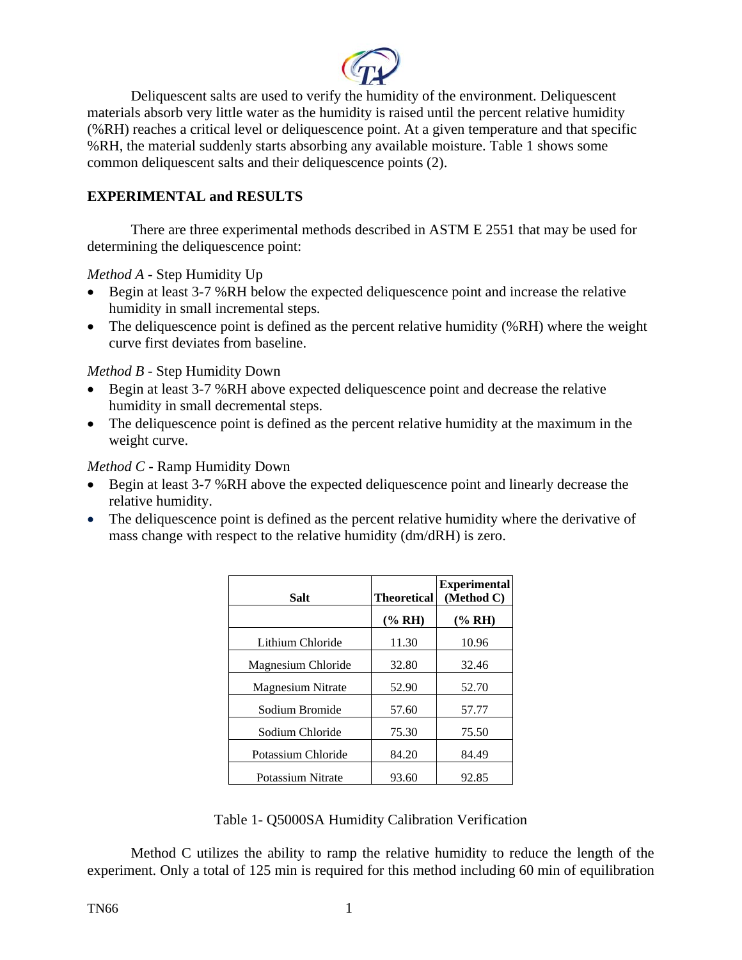

Deliquescent salts are used to verify the humidity of the environment. Deliquescent materials absorb very little water as the humidity is raised until the percent relative humidity (%RH) reaches a critical level or deliquescence point. At a given temperature and that specific %RH, the material suddenly starts absorbing any available moisture. Table 1 shows some common deliquescent salts and their deliquescence points (2).

# **EXPERIMENTAL and RESULTS**

There are three experimental methods described in ASTM E 2551 that may be used for determining the deliquescence point:

*Method A* - Step Humidity Up

- Begin at least 3-7 %RH below the expected deliquescence point and increase the relative humidity in small incremental steps.
- The deliquescence point is defined as the percent relative humidity (%RH) where the weight curve first deviates from baseline.

*Method B* - Step Humidity Down

- Begin at least 3-7 %RH above expected deliquescence point and decrease the relative humidity in small decremental steps.
- The deliquescence point is defined as the percent relative humidity at the maximum in the weight curve.

*Method C* - Ramp Humidity Down

- Begin at least 3-7 %RH above the expected deliquescence point and linearly decrease the relative humidity.
- The deliquescence point is defined as the percent relative humidity where the derivative of mass change with respect to the relative humidity (dm/dRH) is zero.

| Salt                     | <b>Theoretical</b> | <b>Experimental</b><br>(Method C) |
|--------------------------|--------------------|-----------------------------------|
|                          | $(\% RH)$          | (% RH)                            |
| Lithium Chloride         | 11.30              | 10.96                             |
| Magnesium Chloride       | 32.80              | 32.46                             |
| <b>Magnesium Nitrate</b> | 52.90              | 52.70                             |
| Sodium Bromide           | 57.60              | 57.77                             |
| Sodium Chloride          | 75.30              | 75.50                             |
| Potassium Chloride       | 84.20              | 84.49                             |
| Potassium Nitrate        | 93.60              | 92.85                             |

Table 1- Q5000SA Humidity Calibration Verification

Method C utilizes the ability to ramp the relative humidity to reduce the length of the experiment. Only a total of 125 min is required for this method including 60 min of equilibration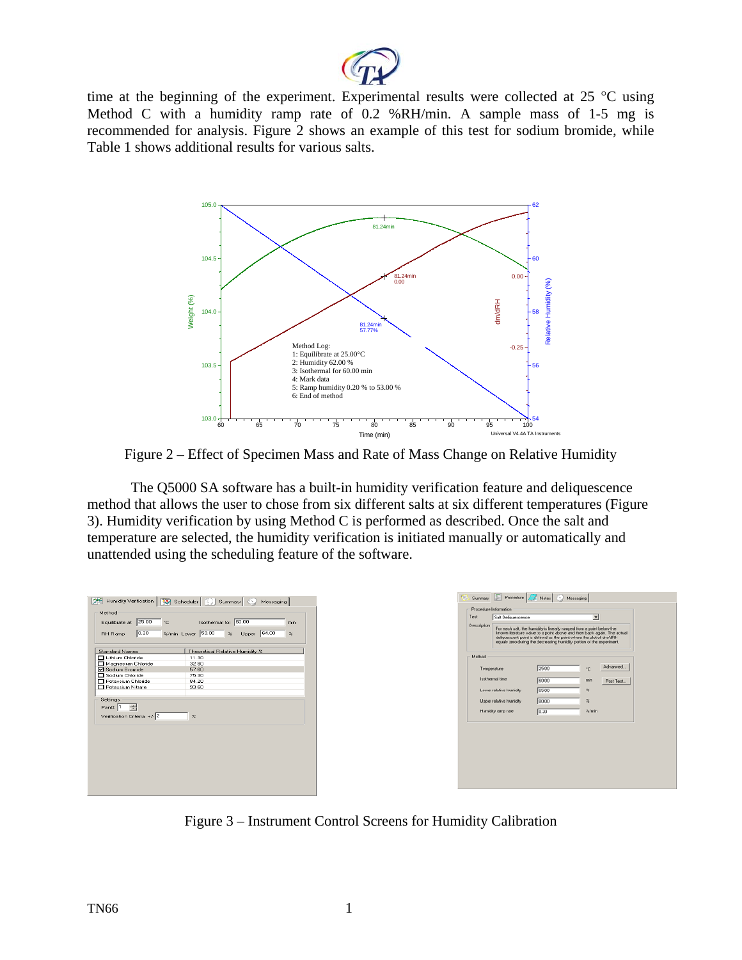

time at the beginning of the experiment. Experimental results were collected at 25 °C using Method C with a humidity ramp rate of 0.2 %RH/min. A sample mass of 1-5 mg is recommended for analysis. Figure 2 shows an example of this test for sodium bromide, while Table 1 shows additional results for various salts.



Figure 2 – Effect of Specimen Mass and Rate of Mass Change on Relative Humidity

The Q5000 SA software has a built-in humidity verification feature and deliquescence method that allows the user to chose from six different salts at six different temperatures (Figure 3). Humidity verification by using Method C is performed as described. Once the salt and temperature are selected, the humidity verification is initiated manually or automatically and unattended using the scheduling feature of the software.

| Humidity Verification   12 Scheduler   [12] Summary   @ Messaging  <br>Procedure Information<br>Method                                                                                                                                                                                                                                                                                                                                                              |                                                                                                                                                                                                                                                                                                                             |  |
|---------------------------------------------------------------------------------------------------------------------------------------------------------------------------------------------------------------------------------------------------------------------------------------------------------------------------------------------------------------------------------------------------------------------------------------------------------------------|-----------------------------------------------------------------------------------------------------------------------------------------------------------------------------------------------------------------------------------------------------------------------------------------------------------------------------|--|
| Test<br>Isothermal for 60.00<br>Equilibrate at 25.00<br>$^{\circ}$ C<br>min<br>Description<br>%/min Lower 50.00<br>Upper 64.00<br>0.20<br>$\approx$<br>$\approx$<br><b>RH Ramp</b>                                                                                                                                                                                                                                                                                  | Salt Deliquescence<br>즤<br>For each salt, the humidity is linearly ramped from a point below the<br>known literature value to a point above and then back again. The actual<br>deliquescent point is defined as the point where the plot of dm/dRH<br>equals zero during the decreasing humidity portion of the experiment. |  |
| <b>Standard Names</b><br>Theoretical Relative Humidity %<br>Method<br><b>TLithium Chloride</b><br>11.30<br>32.80<br>Magnesium Chloride<br>Temperature<br>☑ Sodium Bromide<br>57.60<br>Sodium Chloride<br>75.30<br>Isothermal time<br>Potassium Chloride<br>84.20<br>Potassium Nitrate<br>93.60<br>Lower relative humidity<br>Settings<br>Upper relative humidity<br>臺<br>Part: 1<br>Humidity ramp rate<br>Verification Criteria: +/-2<br>$\boldsymbol{\mathcal{Z}}$ | Advanced.<br>25.00<br>*C<br>60.00<br>min<br>Post Test<br>65.00<br>R<br>80.00<br>×<br>0.20<br>$27$ min                                                                                                                                                                                                                       |  |

Figure 3 – Instrument Control Screens for Humidity Calibration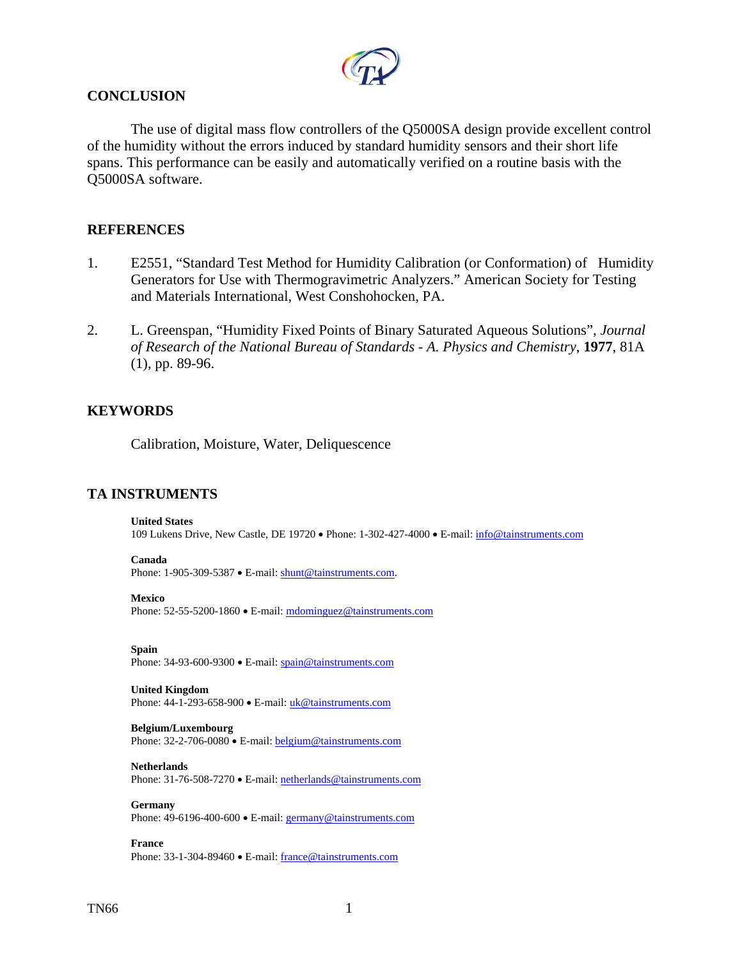

## **CONCLUSION**

 The use of digital mass flow controllers of the Q5000SA design provide excellent control of the humidity without the errors induced by standard humidity sensors and their short life spans. This performance can be easily and automatically verified on a routine basis with the Q5000SA software.

## **REFERENCES**

- 1. E2551, "Standard Test Method for Humidity Calibration (or Conformation) of Humidity Generators for Use with Thermogravimetric Analyzers." American Society for Testing and Materials International, West Conshohocken, PA.
- 2. L. Greenspan, "Humidity Fixed Points of Binary Saturated Aqueous Solutions", *Journal of Research of the National Bureau of Standards - A. Physics and Chemistry*, **1977**, 81A (1), pp. 89-96.

## **KEYWORDS**

Calibration, Moisture, Water, Deliquescence

## **TA INSTRUMENTS**

### **United States**

109 Lukens Drive, New Castle, DE 19720 • Phone: 1-302-427-4000 • E-mail: [info@tainstruments.com](mailto:info@tainstruments.com) 

### **Canada**

Phone: 1-905-309-5387 • E-mail: [shunt@tainstruments.com.](mailto:shunt@tainstruments.com)

### **Mexico**

Phone: 52-55-5200-1860 • E-mail: mdominguez@tainstruments.com

**Spain**

Phone: 34-93-600-9300 • E-mail: spain@tainstruments.com

### **United Kingdom**

Phone: 44-1-293-658-900 • E-mail: uk@tainstruments.com

### **Belgium/Luxembourg**

Phone: 32-2-706-0080 • E-mail: belgium@tainstruments.com

### **Netherlands**

Phone: 31-76-508-7270 • E-mail: [netherlands@tainstruments.com](mailto:netherlands@tainstruments.com)

#### **Germany**

Phone: 49-6196-400-600 • E-mail: [germany@tainstruments.com](mailto:germany@tainstruments.com)

**France** 

Phone: 33-1-304-89460 • E-mail: [france@tainstruments.com](mailto:france@tainstruments.com)